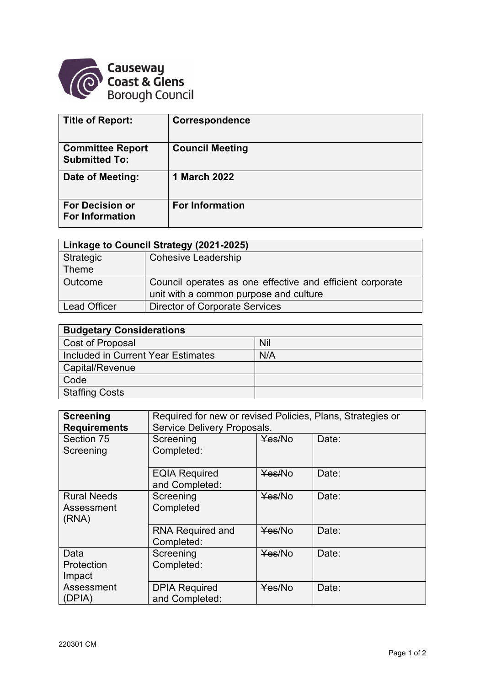

| <b>Title of Report:</b>                          | <b>Correspondence</b>  |
|--------------------------------------------------|------------------------|
| <b>Committee Report</b><br><b>Submitted To:</b>  | <b>Council Meeting</b> |
| Date of Meeting:                                 | <b>1 March 2022</b>    |
| <b>For Decision or</b><br><b>For Information</b> | <b>For Information</b> |

| Linkage to Council Strategy (2021-2025) |                                                           |  |
|-----------------------------------------|-----------------------------------------------------------|--|
| Strategic                               | <b>Cohesive Leadership</b>                                |  |
| $\sf I$ Theme                           |                                                           |  |
| Outcome                                 | Council operates as one effective and efficient corporate |  |
|                                         | unit with a common purpose and culture                    |  |
| <b>Lead Officer</b>                     | <b>Director of Corporate Services</b>                     |  |

| <b>Budgetary Considerations</b>    |     |
|------------------------------------|-----|
| Cost of Proposal                   | Nil |
| Included in Current Year Estimates | N/A |
| Capital/Revenue                    |     |
| Code                               |     |
| <b>Staffing Costs</b>              |     |

| <b>Screening</b><br><b>Requirements</b>   | Required for new or revised Policies, Plans, Strategies or<br>Service Delivery Proposals. |        |       |
|-------------------------------------------|-------------------------------------------------------------------------------------------|--------|-------|
| Section 75<br>Screening                   | Screening<br>Completed:                                                                   | Yes/No | Date: |
|                                           | <b>EQIA Required</b><br>and Completed:                                                    | Yes/No | Date: |
| <b>Rural Needs</b><br>Assessment<br>(RNA) | Screening<br>Completed                                                                    | Yes/No | Date: |
|                                           | <b>RNA Required and</b><br>Completed:                                                     | Yes/No | Date: |
| Data<br>Protection<br>Impact              | Screening<br>Completed:                                                                   | Yes/No | Date: |
| Assessment<br>(DPIA)                      | <b>DPIA Required</b><br>and Completed:                                                    | Yes/No | Date: |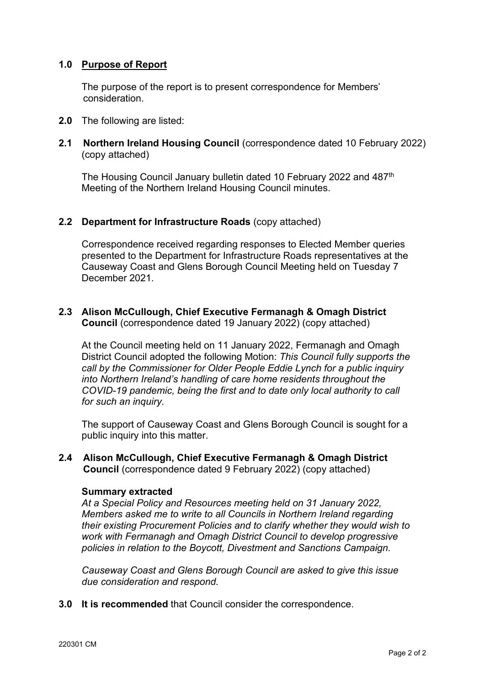## **1.0 Purpose of Report**

The purpose of the report is to present correspondence for Members' consideration.

- **2.0** The following are listed:
- **2.1 Northern Ireland Housing Council** (correspondence dated 10 February 2022) (copy attached)

The Housing Council January bulletin dated 10 February 2022 and 487th Meeting of the Northern Ireland Housing Council minutes.

### **2.2 Department for Infrastructure Roads** (copy attached)

Correspondence received regarding responses to Elected Member queries presented to the Department for Infrastructure Roads representatives at the Causeway Coast and Glens Borough Council Meeting held on Tuesday 7 December 2021.

### **2.3 Alison McCullough, Chief Executive Fermanagh & Omagh District Council** (correspondence dated 19 January 2022) (copy attached)

At the Council meeting held on 11 January 2022, Fermanagh and Omagh District Council adopted the following Motion: *This Council fully supports the call by the Commissioner for Older People Eddie Lynch for a public inquiry into Northern Ireland's handling of care home residents throughout the COVID-19 pandemic, being the first and to date only local authority to call for such an inquiry.*

The support of Causeway Coast and Glens Borough Council is sought for a public inquiry into this matter.

**2.4 Alison McCullough, Chief Executive Fermanagh & Omagh District Council** (correspondence dated 9 February 2022) (copy attached)

#### **Summary extracted**

*At a Special Policy and Resources meeting held on 31 January 2022, Members asked me to write to all Councils in Northern Ireland regarding their existing Procurement Policies and to clarify whether they would wish to work with Fermanagh and Omagh District Council to develop progressive policies in relation to the Boycott, Divestment and Sanctions Campaign.* 

*Causeway Coast and Glens Borough Council are asked to give this issue due consideration and respond.* 

**3.0 It is recommended** that Council consider the correspondence.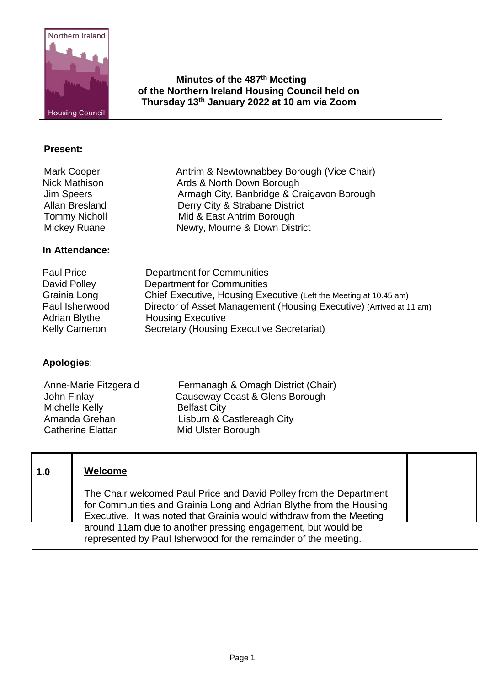

**Minutes of the 487th Meeting of the Northern Ireland Housing Council held on Thursday 13th January 2022 at 10 am via Zoom**

Armagh City, Banbridge & Craigavon Borough

### **Present:**

Mark Cooper **Antrim & Newtownabbey Borough (Vice Chair)** Ards & North Down Borough (Vice Chair) Nick Mathison **Ards & North Down Borough**<br>
Jim Speers **Armagh City**, Banbridge & Cr Allan Bresland Derry City & Strabane District Tommy Nicholl **Mid & East Antrim Borough**<br>Mickey Ruane **Mickey Ruane** Newry, Mourne & Down Dist

### **In Attendance:**

Paul Price **Department for Communities**<br>Department for Communities Department for Communities Grainia Long Chief Executive, Housing Executive (Left the Meeting at 10.45 am) Paul Isherwood Director of Asset Management (Housing Executive) (Arrived at 11 am) Adrian Blythe Housing Executive<br>Kelly Cameron Secretary (Housing Secretary (Housing Executive Secretariat)

Newry, Mourne & Down District

### **Apologies**:

Anne-Marie Fitzgerald Fermanagh & Omagh District (Chair)<br>John Finlay Causeway Coast & Glens Borough Causeway Coast & Glens Borough Michelle Kelly<br>
Amanda Grehan<br>
Lisburn & C Lisburn & Castlereagh City Catherine Elattar Mid Ulster Borough

# **1.0 Welcome**

The Chair welcomed Paul Price and David Polley from the Department for Communities and Grainia Long and Adrian Blythe from the Housing Executive. It was noted that Grainia would withdraw from the Meeting around 11am due to another pressing engagement, but would be represented by Paul Isherwood for the remainder of the meeting.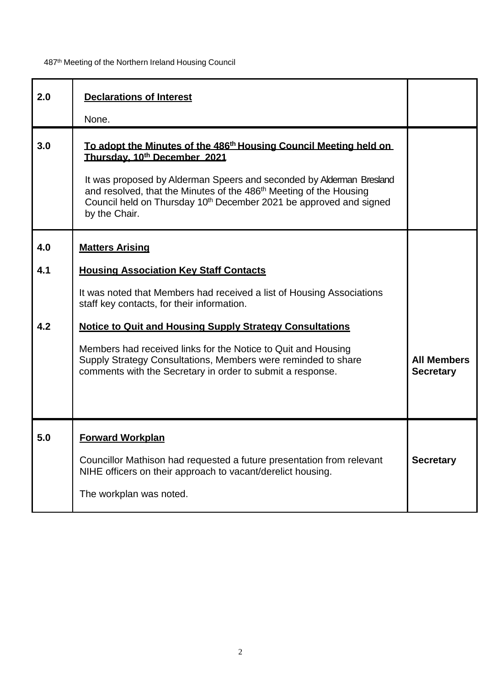| 2.0               | <b>Declarations of Interest</b><br>None.                                                                                                                                                                                                                                                                                                                                                                                                                          |                                        |
|-------------------|-------------------------------------------------------------------------------------------------------------------------------------------------------------------------------------------------------------------------------------------------------------------------------------------------------------------------------------------------------------------------------------------------------------------------------------------------------------------|----------------------------------------|
| 3.0               | To adopt the Minutes of the 486 <sup>th</sup> Housing Council Meeting held on<br>Thursday, 10th December 2021<br>It was proposed by Alderman Speers and seconded by Alderman Bresland<br>and resolved, that the Minutes of the 486 <sup>th</sup> Meeting of the Housing<br>Council held on Thursday 10 <sup>th</sup> December 2021 be approved and signed<br>by the Chair.                                                                                        |                                        |
| 4.0<br>4.1<br>4.2 | <b>Matters Arising</b><br><b>Housing Association Key Staff Contacts</b><br>It was noted that Members had received a list of Housing Associations<br>staff key contacts, for their information.<br><b>Notice to Quit and Housing Supply Strategy Consultations</b><br>Members had received links for the Notice to Quit and Housing<br>Supply Strategy Consultations, Members were reminded to share<br>comments with the Secretary in order to submit a response. | <b>All Members</b><br><b>Secretary</b> |
| 5.0               | <b>Forward Workplan</b><br>Councillor Mathison had requested a future presentation from relevant<br>NIHE officers on their approach to vacant/derelict housing.<br>The workplan was noted.                                                                                                                                                                                                                                                                        | <b>Secretary</b>                       |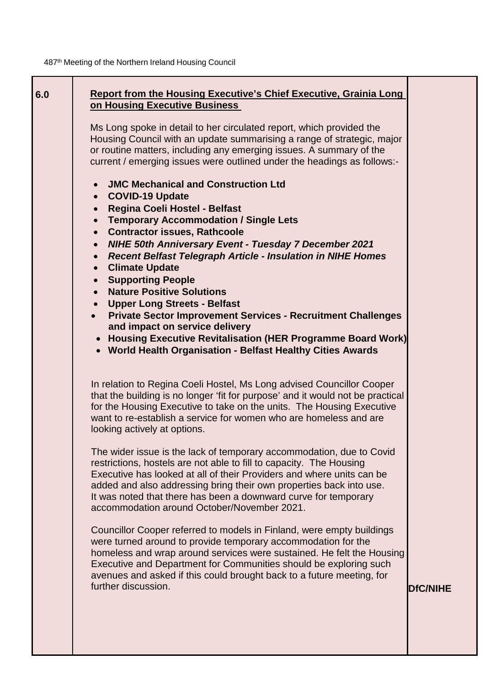| 6.0 | <b>Report from the Housing Executive's Chief Executive, Grainia Long</b><br>on Housing Executive Business<br>Ms Long spoke in detail to her circulated report, which provided the<br>Housing Council with an update summarising a range of strategic, major<br>or routine matters, including any emerging issues. A summary of the<br>current / emerging issues were outlined under the headings as follows:-                                             |                 |
|-----|-----------------------------------------------------------------------------------------------------------------------------------------------------------------------------------------------------------------------------------------------------------------------------------------------------------------------------------------------------------------------------------------------------------------------------------------------------------|-----------------|
|     | <b>JMC Mechanical and Construction Ltd</b><br>• COVID-19 Update<br>Regina Coeli Hostel - Belfast<br>$\bullet$<br><b>Temporary Accommodation / Single Lets</b><br>$\bullet$<br><b>Contractor issues, Rathcoole</b><br>$\bullet$<br>NIHE 50th Anniversary Event - Tuesday 7 December 2021<br>• Recent Belfast Telegraph Article - Insulation in NIHE Homes<br><b>Climate Update</b><br>$\bullet$<br>• Supporting People<br><b>Nature Positive Solutions</b> |                 |
|     | • Upper Long Streets - Belfast<br><b>Private Sector Improvement Services - Recruitment Challenges</b><br>$\bullet$<br>and impact on service delivery<br>• Housing Executive Revitalisation (HER Programme Board Work)<br>• World Health Organisation - Belfast Healthy Cities Awards                                                                                                                                                                      |                 |
|     | In relation to Regina Coeli Hostel, Ms Long advised Councillor Cooper<br>that the building is no longer 'fit for purpose' and it would not be practical<br>for the Housing Executive to take on the units. The Housing Executive<br>want to re-establish a service for women who are homeless and are<br>looking actively at options.                                                                                                                     |                 |
|     | The wider issue is the lack of temporary accommodation, due to Covid<br>restrictions, hostels are not able to fill to capacity. The Housing<br>Executive has looked at all of their Providers and where units can be<br>added and also addressing bring their own properties back into use.<br>It was noted that there has been a downward curve for temporary<br>accommodation around October/November 2021.                                             |                 |
|     | Councillor Cooper referred to models in Finland, were empty buildings<br>were turned around to provide temporary accommodation for the<br>homeless and wrap around services were sustained. He felt the Housing<br>Executive and Department for Communities should be exploring such<br>avenues and asked if this could brought back to a future meeting, for<br>further discussion.                                                                      | <b>DfC/NIHE</b> |
|     |                                                                                                                                                                                                                                                                                                                                                                                                                                                           |                 |

3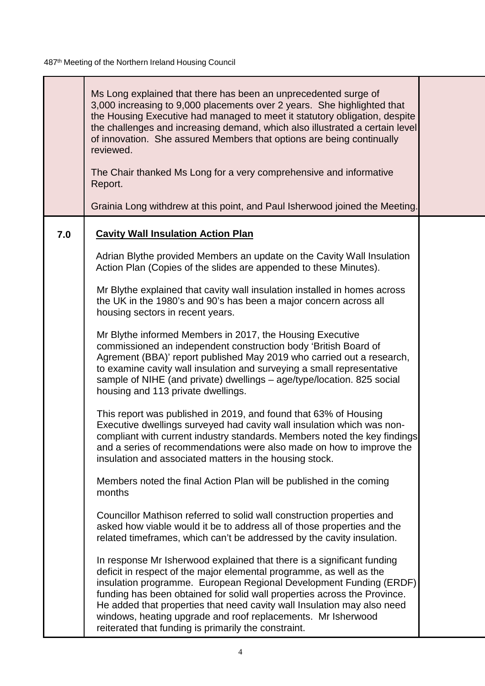т

|     | Ms Long explained that there has been an unprecedented surge of<br>3,000 increasing to 9,000 placements over 2 years. She highlighted that<br>the Housing Executive had managed to meet it statutory obligation, despite<br>the challenges and increasing demand, which also illustrated a certain level<br>of innovation. She assured Members that options are being continually<br>reviewed.<br>The Chair thanked Ms Long for a very comprehensive and informative<br>Report.<br>Grainia Long withdrew at this point, and Paul Isherwood joined the Meeting. |  |
|-----|----------------------------------------------------------------------------------------------------------------------------------------------------------------------------------------------------------------------------------------------------------------------------------------------------------------------------------------------------------------------------------------------------------------------------------------------------------------------------------------------------------------------------------------------------------------|--|
| 7.0 | <b>Cavity Wall Insulation Action Plan</b>                                                                                                                                                                                                                                                                                                                                                                                                                                                                                                                      |  |
|     | Adrian Blythe provided Members an update on the Cavity Wall Insulation<br>Action Plan (Copies of the slides are appended to these Minutes).                                                                                                                                                                                                                                                                                                                                                                                                                    |  |
|     | Mr Blythe explained that cavity wall insulation installed in homes across<br>the UK in the 1980's and 90's has been a major concern across all<br>housing sectors in recent years.                                                                                                                                                                                                                                                                                                                                                                             |  |
|     | Mr Blythe informed Members in 2017, the Housing Executive<br>commissioned an independent construction body 'British Board of<br>Agrement (BBA)' report published May 2019 who carried out a research,<br>to examine cavity wall insulation and surveying a small representative<br>sample of NIHE (and private) dwellings – age/type/location. 825 social<br>housing and 113 private dwellings.                                                                                                                                                                |  |
|     | This report was published in 2019, and found that 63% of Housing<br>Executive dwellings surveyed had cavity wall insulation which was non-<br>compliant with current industry standards. Members noted the key findings<br>and a series of recommendations were also made on how to improve the<br>insulation and associated matters in the housing stock.                                                                                                                                                                                                     |  |
|     | Members noted the final Action Plan will be published in the coming<br>months                                                                                                                                                                                                                                                                                                                                                                                                                                                                                  |  |
|     | Councillor Mathison referred to solid wall construction properties and<br>asked how viable would it be to address all of those properties and the<br>related timeframes, which can't be addressed by the cavity insulation.                                                                                                                                                                                                                                                                                                                                    |  |
|     | In response Mr Isherwood explained that there is a significant funding<br>deficit in respect of the major elemental programme, as well as the<br>insulation programme. European Regional Development Funding (ERDF)<br>funding has been obtained for solid wall properties across the Province.<br>He added that properties that need cavity wall Insulation may also need<br>windows, heating upgrade and roof replacements. Mr Isherwood<br>reiterated that funding is primarily the constraint.                                                             |  |

т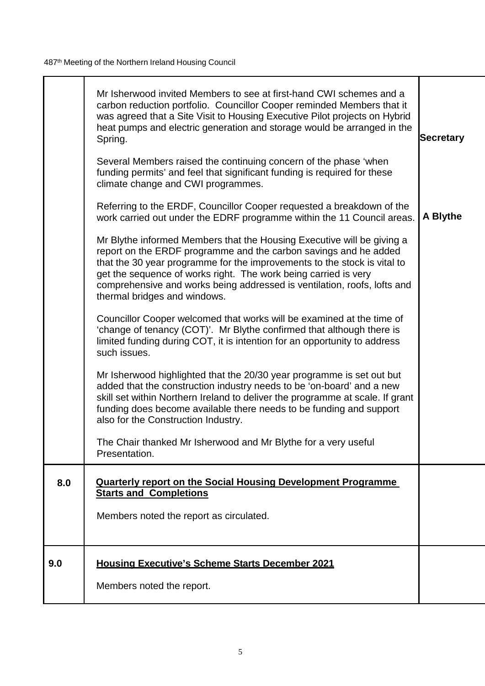|     | Mr Isherwood invited Members to see at first-hand CWI schemes and a<br>carbon reduction portfolio. Councillor Cooper reminded Members that it<br>was agreed that a Site Visit to Housing Executive Pilot projects on Hybrid<br>heat pumps and electric generation and storage would be arranged in the<br>Spring.                                                                                     | <b>Secretary</b> |
|-----|-------------------------------------------------------------------------------------------------------------------------------------------------------------------------------------------------------------------------------------------------------------------------------------------------------------------------------------------------------------------------------------------------------|------------------|
|     | Several Members raised the continuing concern of the phase 'when<br>funding permits' and feel that significant funding is required for these<br>climate change and CWI programmes.                                                                                                                                                                                                                    |                  |
|     | Referring to the ERDF, Councillor Cooper requested a breakdown of the<br>work carried out under the EDRF programme within the 11 Council areas.                                                                                                                                                                                                                                                       | A Blythe         |
|     | Mr Blythe informed Members that the Housing Executive will be giving a<br>report on the ERDF programme and the carbon savings and he added<br>that the 30 year programme for the improvements to the stock is vital to<br>get the sequence of works right. The work being carried is very<br>comprehensive and works being addressed is ventilation, roofs, lofts and<br>thermal bridges and windows. |                  |
|     | Councillor Cooper welcomed that works will be examined at the time of<br>'change of tenancy (COT)'. Mr Blythe confirmed that although there is<br>limited funding during COT, it is intention for an opportunity to address<br>such issues.                                                                                                                                                           |                  |
|     | Mr Isherwood highlighted that the 20/30 year programme is set out but<br>added that the construction industry needs to be 'on-board' and a new<br>skill set within Northern Ireland to deliver the programme at scale. If grant<br>funding does become available there needs to be funding and support<br>also for the Construction Industry.                                                         |                  |
|     | The Chair thanked Mr Isherwood and Mr Blythe for a very useful<br>Presentation.                                                                                                                                                                                                                                                                                                                       |                  |
| 8.0 | <b>Quarterly report on the Social Housing Development Programme</b><br><b>Starts and Completions</b>                                                                                                                                                                                                                                                                                                  |                  |
|     | Members noted the report as circulated.                                                                                                                                                                                                                                                                                                                                                               |                  |
| 9.0 | <b>Housing Executive's Scheme Starts December 2021</b>                                                                                                                                                                                                                                                                                                                                                |                  |
|     | Members noted the report.                                                                                                                                                                                                                                                                                                                                                                             |                  |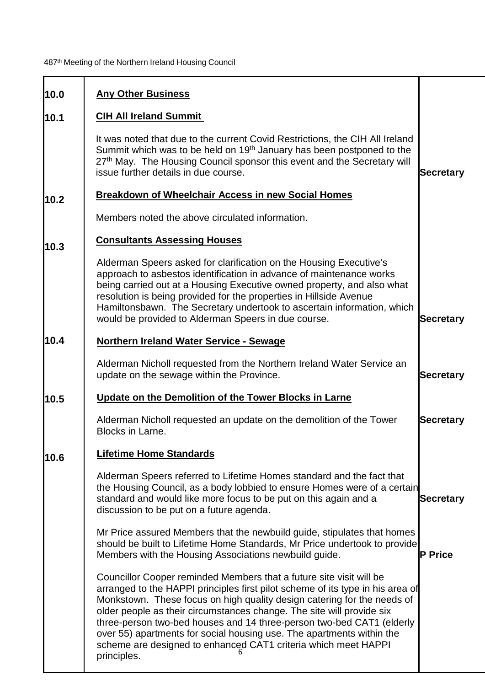| 10.0 | <b>Any Other Business</b>                                                                                                                                                                                                                                                                                                                                                                                                                                                                                                                    |                  |
|------|----------------------------------------------------------------------------------------------------------------------------------------------------------------------------------------------------------------------------------------------------------------------------------------------------------------------------------------------------------------------------------------------------------------------------------------------------------------------------------------------------------------------------------------------|------------------|
| 10.1 | <b>CIH All Ireland Summit</b>                                                                                                                                                                                                                                                                                                                                                                                                                                                                                                                |                  |
|      | It was noted that due to the current Covid Restrictions, the CIH All Ireland<br>Summit which was to be held on 19 <sup>th</sup> January has been postponed to the<br>27th May. The Housing Council sponsor this event and the Secretary will<br>issue further details in due course.                                                                                                                                                                                                                                                         | Secretary        |
| 10.2 | <b>Breakdown of Wheelchair Access in new Social Homes</b>                                                                                                                                                                                                                                                                                                                                                                                                                                                                                    |                  |
|      | Members noted the above circulated information.                                                                                                                                                                                                                                                                                                                                                                                                                                                                                              |                  |
| 10.3 | <b>Consultants Assessing Houses</b>                                                                                                                                                                                                                                                                                                                                                                                                                                                                                                          |                  |
|      | Alderman Speers asked for clarification on the Housing Executive's<br>approach to asbestos identification in advance of maintenance works<br>being carried out at a Housing Executive owned property, and also what<br>resolution is being provided for the properties in Hillside Avenue<br>Hamiltonsbawn. The Secretary undertook to ascertain information, which<br>would be provided to Alderman Speers in due course.                                                                                                                   | <b>Secretary</b> |
| 10.4 | <b>Northern Ireland Water Service - Sewage</b>                                                                                                                                                                                                                                                                                                                                                                                                                                                                                               |                  |
|      | Alderman Nicholl requested from the Northern Ireland Water Service an<br>update on the sewage within the Province.                                                                                                                                                                                                                                                                                                                                                                                                                           | <b>Secretary</b> |
| 10.5 | Update on the Demolition of the Tower Blocks in Larne                                                                                                                                                                                                                                                                                                                                                                                                                                                                                        |                  |
|      | Alderman Nicholl requested an update on the demolition of the Tower<br><b>Blocks in Larne.</b>                                                                                                                                                                                                                                                                                                                                                                                                                                               | <b>Secretary</b> |
| 10.6 | <b>Lifetime Home Standards</b>                                                                                                                                                                                                                                                                                                                                                                                                                                                                                                               |                  |
|      | Alderman Speers referred to Lifetime Homes standard and the fact that<br>the Housing Council, as a body lobbied to ensure Homes were of a certain<br>standard and would like more focus to be put on this again and a<br>discussion to be put on a future agenda.                                                                                                                                                                                                                                                                            | <b>Secretary</b> |
|      | Mr Price assured Members that the newbuild guide, stipulates that homes<br>should be built to Lifetime Home Standards, Mr Price undertook to provide<br>Members with the Housing Associations newbuild guide.                                                                                                                                                                                                                                                                                                                                | <b>P</b> Price   |
|      | Councillor Cooper reminded Members that a future site visit will be<br>arranged to the HAPPI principles first pilot scheme of its type in his area of<br>Monkstown. These focus on high quality design catering for the needs of<br>older people as their circumstances change. The site will provide six<br>three-person two-bed houses and 14 three-person two-bed CAT1 (elderly<br>over 55) apartments for social housing use. The apartments within the<br>scheme are designed to enhanced CAT1 criteria which meet HAPPI<br>principles. |                  |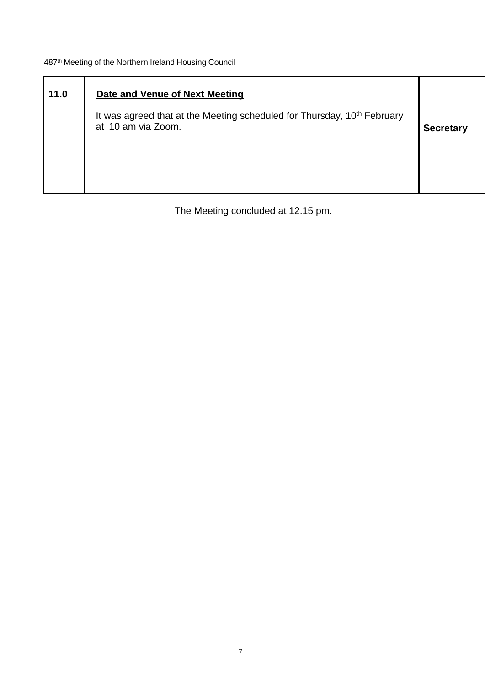| 11.0 | Date and Venue of Next Meeting<br>It was agreed that at the Meeting scheduled for Thursday, 10 <sup>th</sup> February<br>at 10 am via Zoom. | <b>Secretary</b> |
|------|---------------------------------------------------------------------------------------------------------------------------------------------|------------------|
|      |                                                                                                                                             |                  |

The Meeting concluded at 12.15 pm.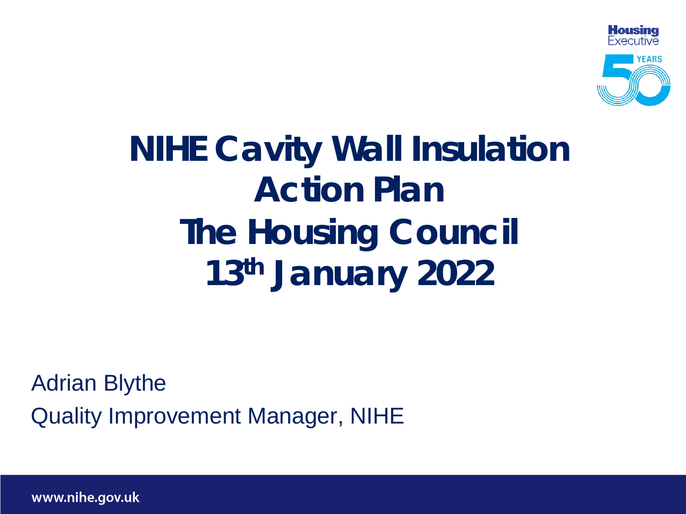

# **NIHE Cavity Wall Insulation Action Plan The Housing Council 13th January 2022**

Adrian Blythe Quality Improvement Manager, NIHE

www.nihe.gov.uk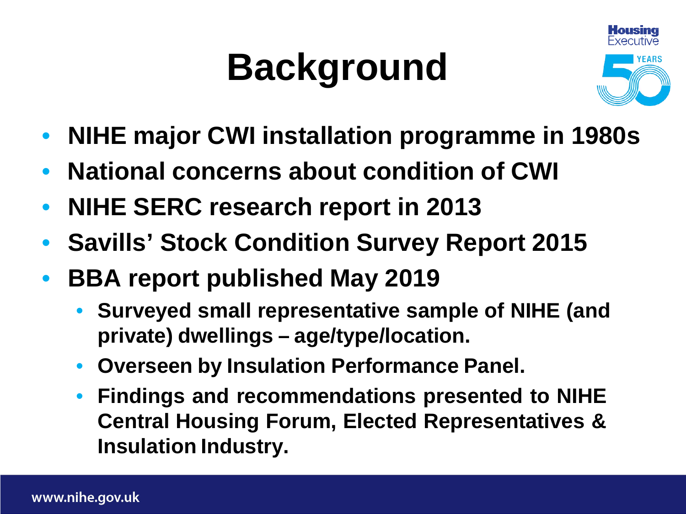# **Background**



- **NIHE major CWI installation programme in 1980s**
- **National concerns about condition of CWI**
- **NIHE SERC research report in 2013**
- **Savills' Stock Condition Survey Report 2015**
- **BBA report published May 2019**
	- **Surveyed small representative sample of NIHE (and private) dwellings – age/type/location.**
	- **Overseen by Insulation Performance Panel.**
	- **Findings and recommendations presented to NIHE Central Housing Forum, Elected Representatives & Insulation Industry.**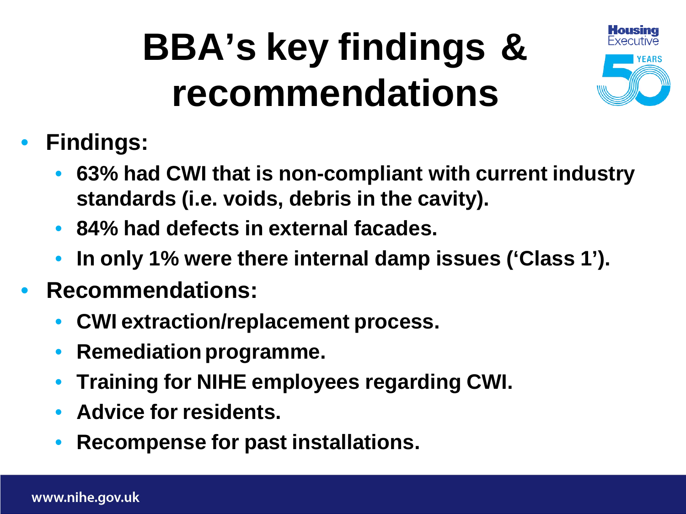# **BBA's key findings & recommendations**



- **Findings:**
	- **63% had CWI that is non-compliant with current industry standards (i.e. voids, debris in the cavity).**
	- **84% had defects in external facades.**
	- **In only 1% were there internal damp issues ('Class 1').**
- **Recommendations:**
	- **CWI extraction/replacement process.**
	- **Remediation programme.**
	- **Training for NIHE employees regarding CWI.**
	- **Advice for residents.**
	- **Recompense for past installations.**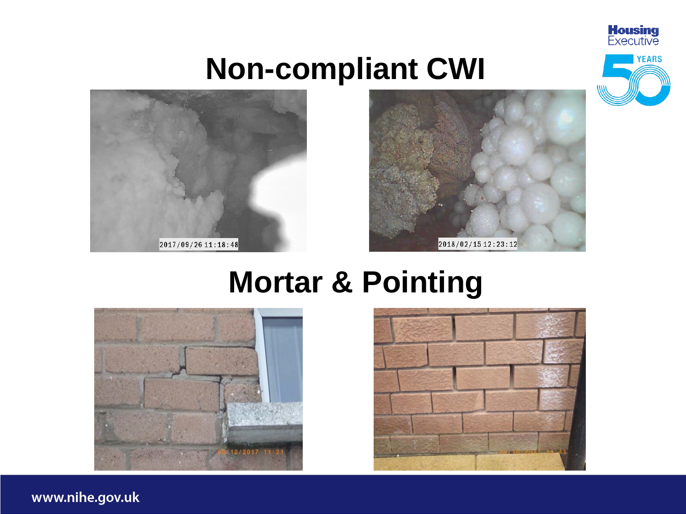

# **Non-compliant CWI**





# **Mortar & Pointing**





www.nihe.gov.uk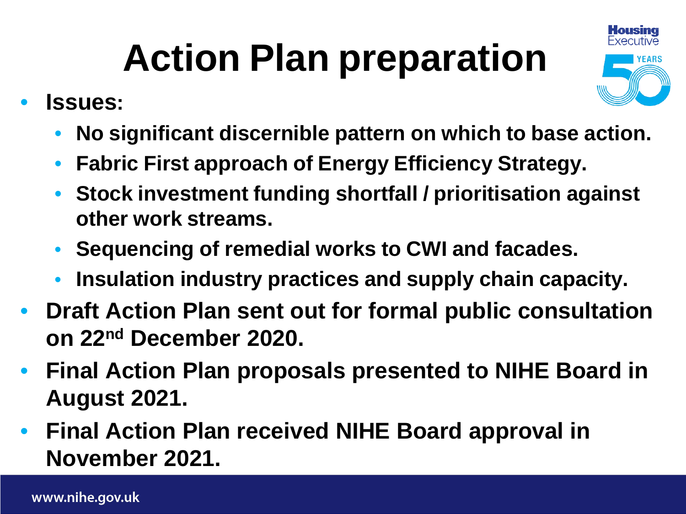# **Action Plan preparation**

- **Issues:**
	- **No significant discernible pattern on which to base action.**
	- **Fabric First approach of Energy Efficiency Strategy.**
	- **Stock investment funding shortfall / prioritisation against other work streams.**
	- **Sequencing of remedial works to CWI and facades.**
	- **Insulation industry practices and supply chain capacity.**
- **Draft Action Plan sent out for formal public consultation on 22nd December 2020.**
- **Final Action Plan proposals presented to NIHE Board in August 2021.**
- **Final Action Plan received NIHE Board approval in November 2021.**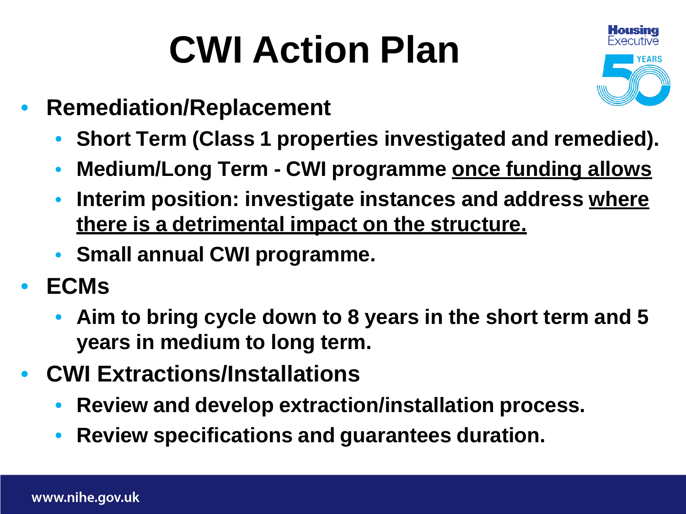# **CWI Action Plan**



- **Remediation/Replacement**
	- **Short Term (Class 1 properties investigated and remedied).**
	- **Medium/Long Term - CWI programme once funding allows**
	- **Interim position: investigate instances and address where there is a detrimental impact on the structure.**
	- **Small annual CWI programme.**
- **ECMs**
	- **Aim to bring cycle down to 8 years in the short term and 5 years in medium to long term.**
- **CWI Extractions/Installations**
	- **Review and develop extraction/installation process.**
	- **Review specifications and guarantees duration.**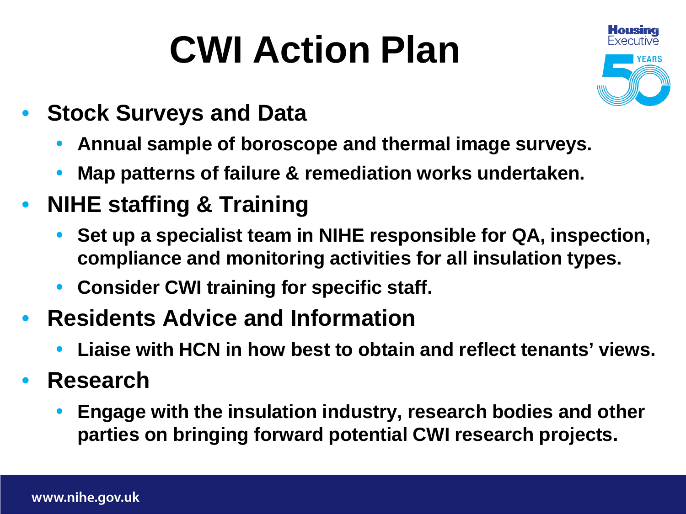# **CWI Action Plan**



- **Stock Surveys and Data**
	- **Annual sample of boroscope and thermal image surveys.**
	- **Map patterns of failure & remediation works undertaken.**
- **NIHE staffing & Training**
	- **Set up a specialist team in NIHE responsible for QA, inspection, compliance and monitoring activities for all insulation types.**
	- **Consider CWI training for specific staff.**
- **Residents Advice and Information**
	- **Liaise with HCN in how best to obtain and reflect tenants' views.**
- **Research**
	- **Engage with the insulation industry, research bodies and other parties on bringing forward potential CWI research projects.**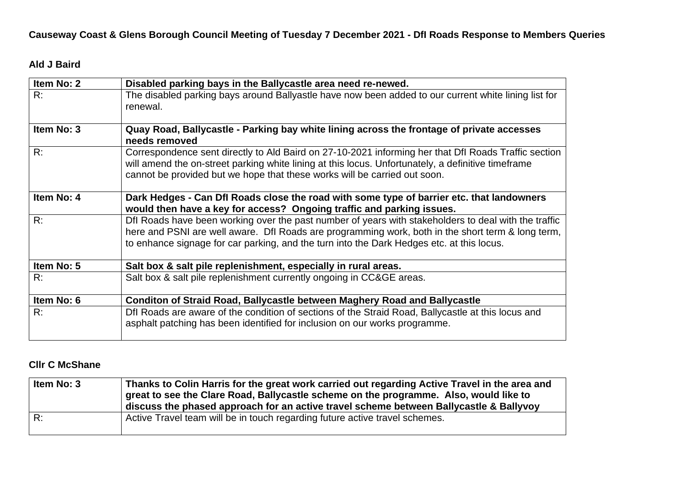**Causeway Coast & Glens Borough Council Meeting of Tuesday 7 December 2021 - DfI Roads Response to Members Queries** 

# **Ald J Baird**

| Item No: 2 | Disabled parking bays in the Ballycastle area need re-newed.                                                                                                                                                                                                                                           |
|------------|--------------------------------------------------------------------------------------------------------------------------------------------------------------------------------------------------------------------------------------------------------------------------------------------------------|
| R:         | The disabled parking bays around Ballyastle have now been added to our current white lining list for<br>renewal.                                                                                                                                                                                       |
| Item No: 3 | Quay Road, Ballycastle - Parking bay white lining across the frontage of private accesses<br>needs removed                                                                                                                                                                                             |
| R:         | Correspondence sent directly to Ald Baird on 27-10-2021 informing her that Dfl Roads Traffic section<br>will amend the on-street parking white lining at this locus. Unfortunately, a definitive timeframe<br>cannot be provided but we hope that these works will be carried out soon.                |
| Item No: 4 | Dark Hedges - Can Dfl Roads close the road with some type of barrier etc. that landowners<br>would then have a key for access? Ongoing traffic and parking issues.                                                                                                                                     |
| R:         | Dfl Roads have been working over the past number of years with stakeholders to deal with the traffic<br>here and PSNI are well aware. Dfl Roads are programming work, both in the short term & long term,<br>to enhance signage for car parking, and the turn into the Dark Hedges etc. at this locus. |
| Item No: 5 | Salt box & salt pile replenishment, especially in rural areas.                                                                                                                                                                                                                                         |
| R:         | Salt box & salt pile replenishment currently ongoing in CC&GE areas.                                                                                                                                                                                                                                   |
| Item No: 6 | Conditon of Straid Road, Ballycastle between Maghery Road and Ballycastle                                                                                                                                                                                                                              |
| R:         | Dfl Roads are aware of the condition of sections of the Straid Road, Ballycastle at this locus and<br>asphalt patching has been identified for inclusion on our works programme.                                                                                                                       |

# **Cllr C McShane**

| Item No: 3 | Thanks to Colin Harris for the great work carried out regarding Active Travel in the area and<br>great to see the Clare Road, Ballycastle scheme on the programme. Also, would like to<br>discuss the phased approach for an active travel scheme between Ballycastle & Ballyvoy |
|------------|----------------------------------------------------------------------------------------------------------------------------------------------------------------------------------------------------------------------------------------------------------------------------------|
| R:         | Active Travel team will be in touch regarding future active travel schemes.                                                                                                                                                                                                      |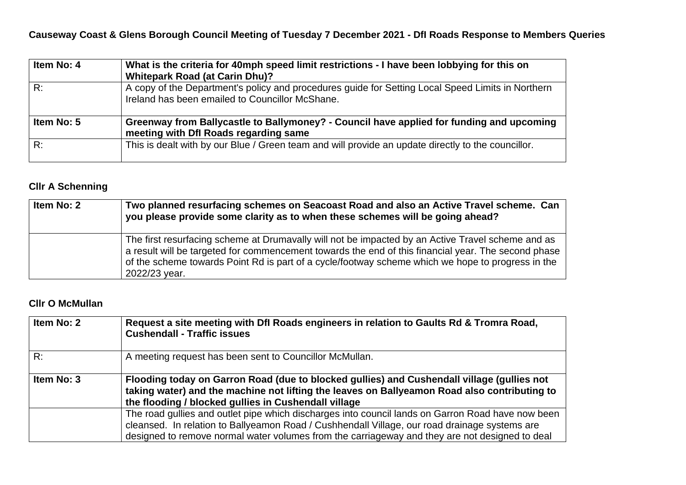**Causeway Coast & Glens Borough Council Meeting of Tuesday 7 December 2021 - DfI Roads Response to Members Queries** 

| Item No: 4 | What is the criteria for 40mph speed limit restrictions - I have been lobbying for this on<br><b>Whitepark Road (at Carin Dhu)?</b>                  |
|------------|------------------------------------------------------------------------------------------------------------------------------------------------------|
| R:         | A copy of the Department's policy and procedures guide for Setting Local Speed Limits in Northern<br>Ireland has been emailed to Councillor McShane. |
| Item No: 5 | Greenway from Ballycastle to Ballymoney? - Council have applied for funding and upcoming<br>meeting with Dfl Roads regarding same                    |
| R:         | This is dealt with by our Blue / Green team and will provide an update directly to the councillor.                                                   |

# **Cllr A Schenning**

| Item No: 2 | Two planned resurfacing schemes on Seacoast Road and also an Active Travel scheme. Can<br>you please provide some clarity as to when these schemes will be going ahead?                                                                                                                                                        |
|------------|--------------------------------------------------------------------------------------------------------------------------------------------------------------------------------------------------------------------------------------------------------------------------------------------------------------------------------|
|            | The first resurfacing scheme at Drumavally will not be impacted by an Active Travel scheme and as<br>a result will be targeted for commencement towards the end of this financial year. The second phase<br>of the scheme towards Point Rd is part of a cycle/footway scheme which we hope to progress in the<br>2022/23 year. |

# **Cllr O McMullan**

| Item No: 2 | Request a site meeting with Dfl Roads engineers in relation to Gaults Rd & Tromra Road,<br><b>Cushendall - Traffic issues</b>                                                                                                                                                                        |
|------------|------------------------------------------------------------------------------------------------------------------------------------------------------------------------------------------------------------------------------------------------------------------------------------------------------|
| R:         | A meeting request has been sent to Councillor McMullan.                                                                                                                                                                                                                                              |
| Item No: 3 | Flooding today on Garron Road (due to blocked gullies) and Cushendall village (gullies not<br>taking water) and the machine not lifting the leaves on Ballyeamon Road also contributing to<br>the flooding / blocked gullies in Cushendall village                                                   |
|            | The road gullies and outlet pipe which discharges into council lands on Garron Road have now been<br>cleansed. In relation to Ballyeamon Road / Cushhendall Village, our road drainage systems are<br>designed to remove normal water volumes from the carriageway and they are not designed to deal |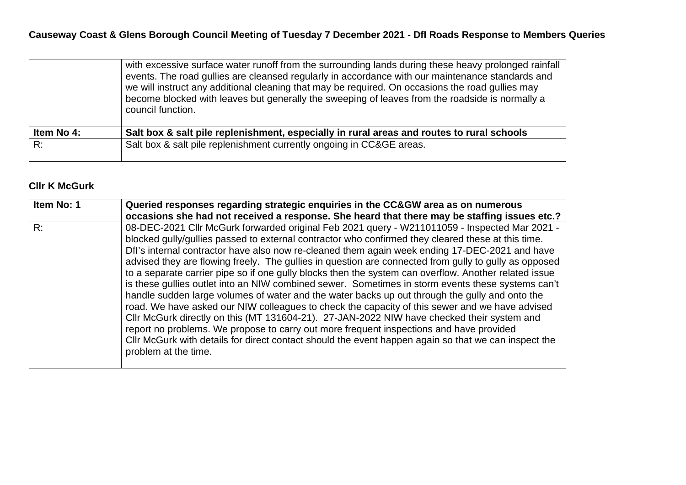|            | with excessive surface water runoff from the surrounding lands during these heavy prolonged rainfall<br>events. The road gullies are cleansed regularly in accordance with our maintenance standards and<br>we will instruct any additional cleaning that may be required. On occasions the road gullies may<br>become blocked with leaves but generally the sweeping of leaves from the roadside is normally a<br>council function. |
|------------|--------------------------------------------------------------------------------------------------------------------------------------------------------------------------------------------------------------------------------------------------------------------------------------------------------------------------------------------------------------------------------------------------------------------------------------|
| Item No 4: | Salt box & salt pile replenishment, especially in rural areas and routes to rural schools                                                                                                                                                                                                                                                                                                                                            |
| R:         | Salt box & salt pile replenishment currently ongoing in CC&GE areas.                                                                                                                                                                                                                                                                                                                                                                 |

# **Cllr K McGurk**

| Item No: 1 | Queried responses regarding strategic enquiries in the CC&GW area as on numerous<br>occasions she had not received a response. She heard that there may be staffing issues etc.?                                                                                                                                                                                                                                                                                                                                                                                                                                                                                                                                                                                                                                                                                                                                                                                                                                                                                                                                                                          |
|------------|-----------------------------------------------------------------------------------------------------------------------------------------------------------------------------------------------------------------------------------------------------------------------------------------------------------------------------------------------------------------------------------------------------------------------------------------------------------------------------------------------------------------------------------------------------------------------------------------------------------------------------------------------------------------------------------------------------------------------------------------------------------------------------------------------------------------------------------------------------------------------------------------------------------------------------------------------------------------------------------------------------------------------------------------------------------------------------------------------------------------------------------------------------------|
| R:         | 08-DEC-2021 Cllr McGurk forwarded original Feb 2021 query - W211011059 - Inspected Mar 2021 -<br>blocked gully/gullies passed to external contractor who confirmed they cleared these at this time.<br>Dfl's internal contractor have also now re-cleaned them again week ending 17-DEC-2021 and have<br>advised they are flowing freely. The gullies in question are connected from gully to gully as opposed<br>to a separate carrier pipe so if one gully blocks then the system can overflow. Another related issue<br>is these gullies outlet into an NIW combined sewer. Sometimes in storm events these systems can't<br>handle sudden large volumes of water and the water backs up out through the gully and onto the<br>road. We have asked our NIW colleagues to check the capacity of this sewer and we have advised<br>Cllr McGurk directly on this (MT 131604-21). 27-JAN-2022 NIW have checked their system and<br>report no problems. We propose to carry out more frequent inspections and have provided<br>Cllr McGurk with details for direct contact should the event happen again so that we can inspect the<br>problem at the time. |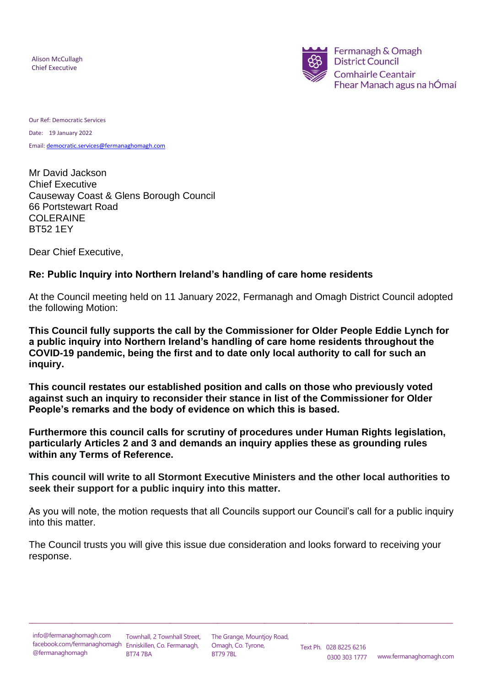Alison McCullagh Alison McCullagh Chief Executive Chief Executive



Our Ref: Democratic Services Date: 19 January 2022 Email[: democratic.services@fermanaghomagh.com](mailto:democratic.services@fermanaghomagh.com)

Mr David Jackson Chief Executive Causeway Coast & Glens Borough Council 66 Portstewart Road COLERAINE BT52 1EY

Dear Chief Executive,

# **Re: Public Inquiry into Northern Ireland's handling of care home residents**

At the Council meeting held on 11 January 2022, Fermanagh and Omagh District Council adopted the following Motion:

**This Council fully supports the call by the Commissioner for Older People Eddie Lynch for a public inquiry into Northern Ireland's handling of care home residents throughout the COVID-19 pandemic, being the first and to date only local authority to call for such an inquiry.**

**This council restates our established position and calls on those who previously voted against such an inquiry to reconsider their stance in list of the Commissioner for Older People's remarks and the body of evidence on which this is based.**

**Furthermore this council calls for scrutiny of procedures under Human Rights legislation, particularly Articles 2 and 3 and demands an inquiry applies these as grounding rules within any Terms of Reference.**

**This council will write to all Stormont Executive Ministers and the other local authorities to seek their support for a public inquiry into this matter.**

As you will note, the motion requests that all Councils support our Council's call for a public inquiry into this matter.

The Council trusts you will give this issue due consideration and looks forward to receiving your response.

\_\_\_\_\_\_\_\_\_\_\_\_\_\_\_\_\_\_\_\_\_\_\_\_\_\_\_\_\_\_\_\_\_\_\_\_\_\_\_\_\_\_\_\_\_\_\_\_\_\_\_\_\_\_\_\_\_\_\_\_\_\_\_\_\_\_\_\_\_\_\_\_\_\_\_\_\_\_\_\_\_\_\_\_\_\_\_\_\_\_\_\_\_\_\_\_\_\_\_\_\_\_\_\_\_\_\_\_\_\_\_\_\_\_\_\_\_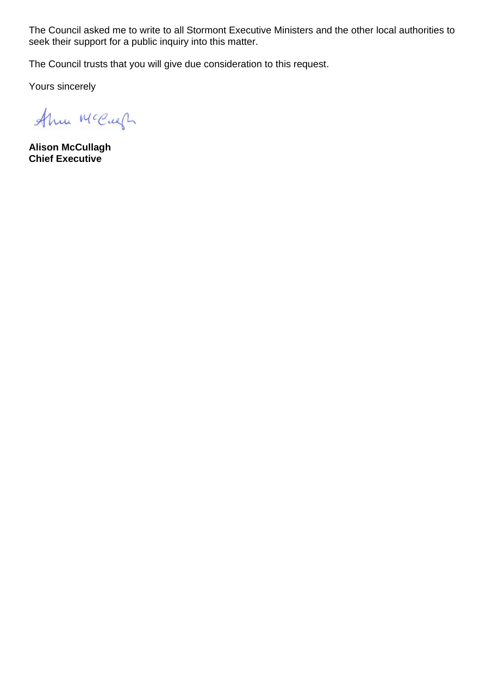The Council asked me to write to all Stormont Executive Ministers and the other local authorities to seek their support for a public inquiry into this matter.

The Council trusts that you will give due consideration to this request.

Yours sincerely

Ahm McCugh

**Alison McCullagh Chief Executive**